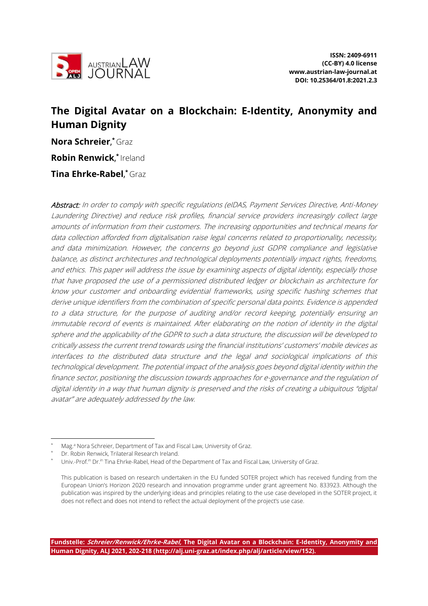

# **The Digital Avatar on a Blockchain: E-Identity, Anonymity and Human Dignity**

**Nora Schreier**, \* Graz **Robin Renwick**, \* Ireland

**Tina Ehrke-Rabel**, $^{\star}$ Graz

Abstract: In order to comply with specific regulations (eIDAS, Payment Services Directive, Anti-Money Laundering Directive) and reduce risk profiles, financial service providers increasingly collect large amounts of information from their customers. The increasing opportunities and technical means for data collection afforded from digitalisation raise legal concerns related to proportionality, necessity, and data minimization. However, the concerns go beyond just GDPR compliance and legislative balance, as distinct architectures and technological deployments potentially impact rights, freedoms, and ethics. This paper will address the issue by examining aspects of digital identity, especially those that have proposed the use of a permissioned distributed ledger or blockchain as architecture for know your customer and onboarding evidential frameworks, using specific hashing schemes that derive unique identifiers from the combination of specific personal data points. Evidence is appended to a data structure, for the purpose of auditing and/or record keeping, potentially ensuring an immutable record of events is maintained. After elaborating on the notion of identity in the digital sphere and the applicability of the GDPR to such a data structure, the discussion will be developed to critically assess the current trend towards using the financial institutions' customers' mobile devices as interfaces to the distributed data structure and the legal and sociological implications of this technological development. The potential impact of the analysis goes beyond digital identity within the finance sector, positioning the discussion towards approaches for e-governance and the regulation of digital identity in a way that human dignity is preserved and the risks of creating a ubiquitous "digital avatar" are adequately addressed by the law.

Mag.<sup>a</sup> Nora Schreier, Department of Tax and Fiscal Law, University of Graz.

Dr. Robin Renwick, Trilateral Research Ireland.

Univ.-Prof.<sup>in</sup> Dr.<sup>in</sup> Tina Ehrke-Rabel, Head of the Department of Tax and Fiscal Law, University of Graz.

This publication is based on research undertaken in the EU funded SOTER project which has received funding from the European Union's Horizon 2020 research and innovation programme under grant agreement No. 833923. Although the publication was inspired by the underlying ideas and principles relating to the use case developed in the SOTER project, it does not reflect and does not intend to reflect the actual deployment of the project's use case.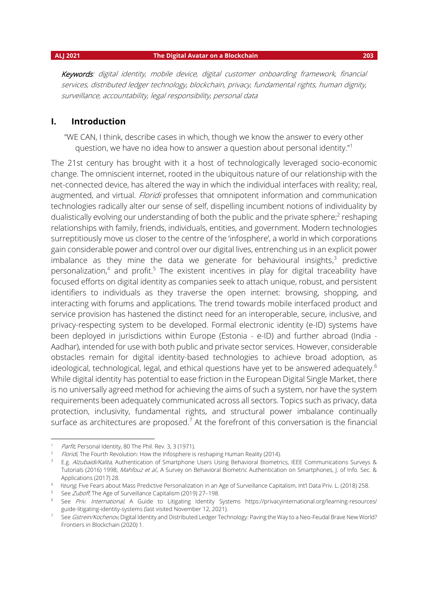Keywords: digital identity, mobile device, digital customer onboarding framework, financial services, distributed ledger technology, blockchain, privacy, fundamental rights, human dignity, surveillance, accountability, legal responsibility, personal data

### **I. Introduction**

"WE CAN, I think, describe cases in which, though we know the answer to every other question, we have no idea how to answer a question about personal identity."<sup>1</sup>

The 21st century has brought with it a host of technologically leveraged socio-economic change. The omniscient internet, rooted in the ubiquitous nature of our relationship with the net-connected device, has altered the way in which the individual interfaces with reality; real, augmented, and virtual. Floridi professes that omnipotent information and communication technologies radically alter our sense of self, dispelling incumbent notions of individuality by dualistically evolving our understanding of both the public and the private sphere;<sup>2</sup> reshaping relationships with family, friends, individuals, entities, and government. Modern technologies surreptitiously move us closer to the centre of the 'infosphere', a world in which corporations gain considerable power and control over our digital lives, entrenching us in an explicit power imbalance as they mine the data we generate for behavioural insights, $3$  predictive personalization,<sup>4</sup> and profit.<sup>5</sup> The existent incentives in play for digital traceability have focused efforts on digital identity as companies seek to attach unique, robust, and persistent identifiers to individuals as they traverse the open internet: browsing, shopping, and interacting with forums and applications. The trend towards mobile interfaced product and service provision has hastened the distinct need for an interoperable, secure, inclusive, and privacy-respecting system to be developed. Formal electronic identity (e-ID) systems have been deployed in jurisdictions within Europe (Estonia - e-ID) and further abroad (India - Aadhar), intended for use with both public and private sector services. However, considerable obstacles remain for digital identity-based technologies to achieve broad adoption, as ideological, technological, legal, and ethical questions have yet to be answered adequately.<sup>6</sup> While digital identity has potential to ease friction in the European Digital Single Market, there is no universally agreed method for achieving the aims of such a system, nor have the system requirements been adequately communicated across all sectors. Topics such as privacy, data protection, inclusivity, fundamental rights, and structural power imbalance continually surface as architectures are proposed.<sup>7</sup> At the forefront of this conversation is the financial

<sup>&</sup>lt;sup>1</sup> Parfit, Personal Identity, 80 The Phil. Rev. 3, 3 (1971).

<sup>&</sup>lt;sup>2</sup> Floridi, The Fourth Revolution: How the Infosphere is reshaping Human Reality (2014).

<sup>&</sup>lt;sup>3</sup> E.g. Alzubaidi/Kalita, Authentication of Smartphone Users Using Behavioral Biometrics, IEEE Communications Surveys & Tutorials (2016) 1998; Mahfouz et al., A Survey on Behavioral Biometric Authentication on Smartphones, J. of Info. Sec. & Applications (2017) 28.

<sup>&</sup>lt;sup>4</sup> Yeung, Five Fears about Mass Predictive Personalization in an Age of Surveillance Capitalism, Int'l Data Priv. L. (2018) 258.

<sup>&</sup>lt;sup>5</sup> See *Zuboff*, The Age of Surveillance Capitalism (2019) 27–198.

<sup>&</sup>lt;sup>6</sup> See Priv. International, A Guide to Litigating Identity Systems https://privacyinternational.org/learning-resources/ guide-litigating-identity-systems (last visited November 12, 2021).

<sup>7</sup> See Gstrein/Kochenov, Digital Identity and Distributed Ledger Technology: Paving the Way to a Neo-Feudal Brave New World? Frontiers in Blockchain (2020) 1.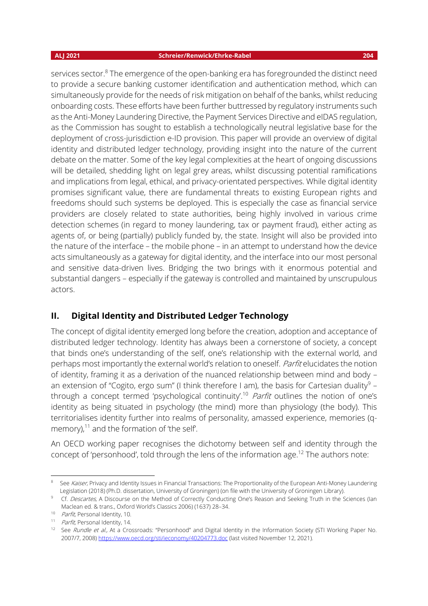services sector.<sup>8</sup> The emergence of the open-banking era has foregrounded the distinct need to provide a secure banking customer identification and authentication method, which can simultaneously provide for the needs of risk mitigation on behalf of the banks, whilst reducing onboarding costs. These efforts have been further buttressed by regulatory instruments such as the Anti-Money Laundering Directive, the Payment Services Directive and eIDAS regulation, as the Commission has sought to establish a technologically neutral legislative base for the deployment of cross-jurisdiction e-ID provision. This paper will provide an overview of digital identity and distributed ledger technology, providing insight into the nature of the current debate on the matter. Some of the key legal complexities at the heart of ongoing discussions will be detailed, shedding light on legal grey areas, whilst discussing potential ramifications and implications from legal, ethical, and privacy-orientated perspectives. While digital identity promises significant value, there are fundamental threats to existing European rights and freedoms should such systems be deployed. This is especially the case as financial service providers are closely related to state authorities, being highly involved in various crime detection schemes (in regard to money laundering, tax or payment fraud), either acting as agents of, or being (partially) publicly funded by, the state. Insight will also be provided into the nature of the interface – the mobile phone – in an attempt to understand how the device acts simultaneously as a gateway for digital identity, and the interface into our most personal and sensitive data-driven lives. Bridging the two brings with it enormous potential and substantial dangers – especially if the gateway is controlled and maintained by unscrupulous actors.

### **II. Digital Identity and Distributed Ledger Technology**

The concept of digital identity emerged long before the creation, adoption and acceptance of distributed ledger technology. Identity has always been a cornerstone of society, a concept that binds one's understanding of the self, one's relationship with the external world, and perhaps most importantly the external world's relation to oneself. Parfit elucidates the notion of identity, framing it as a derivation of the nuanced relationship between mind and body – an extension of "Cogito, ergo sum" (I think therefore I am), the basis for Cartesian duality $^9$  – through a concept termed 'psychological continuity'.<sup>10</sup> Parfit outlines the notion of one's identity as being situated in psychology (the mind) more than physiology (the body). This territorialises identity further into realms of personality, amassed experience, memories (qmemory), $11$  and the formation of 'the self'.

An OECD working paper recognises the dichotomy between self and identity through the concept of 'personhood', told through the lens of the information age.<sup>12</sup> The authors note:

<sup>8</sup> See Kaiser, Privacy and Identity Issues in Financial Transactions: The Proportionality of the European Anti-Money Laundering Legislation (2018) (Ph.D. dissertation, University of Groningen) (on file with the University of Groningen Library).

<sup>&</sup>lt;sup>9</sup> Cf. Descartes, A Discourse on the Method of Correctly Conducting One's Reason and Seeking Truth in the Sciences (Ian Maclean ed. & trans., Oxford World's Classics 2006) (1637) 28–34.

<sup>&</sup>lt;sup>10</sup> Parfit, Personal Identity, 10.

<sup>&</sup>lt;sup>11</sup> Parfit, Personal Identity, 14.

<sup>&</sup>lt;sup>12</sup> See Rundle et al., At a Crossroads: "Personhood" and Digital Identity in the Information Society (STI Working Paper No. 2007/7, 2008)<https://www.oecd.org/sti/ieconomy/40204773.doc> (last visited November 12, 2021).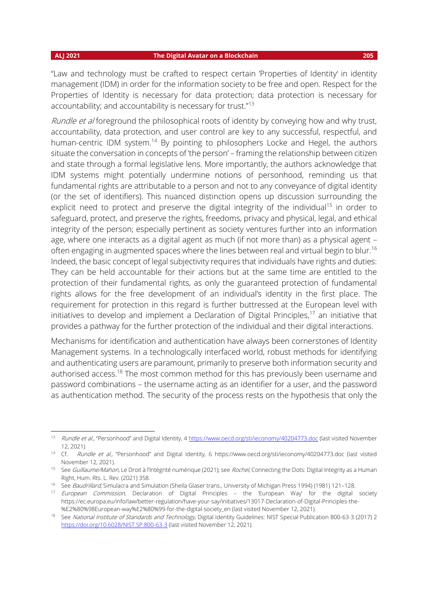"Law and technology must be crafted to respect certain 'Properties of Identity' in identity management (IDM) in order for the information society to be free and open. Respect for the Properties of Identity is necessary for data protection; data protection is necessary for accountability; and accountability is necessary for trust."<sup>13</sup>

Rundle et al foreground the philosophical roots of identity by conveying how and why trust, accountability, data protection, and user control are key to any successful, respectful, and human-centric IDM system.<sup>14</sup> By pointing to philosophers Locke and Hegel, the authors situate the conversation in concepts of 'the person' – framing the relationship between citizen and state through a formal legislative lens. More importantly, the authors acknowledge that IDM systems might potentially undermine notions of personhood, reminding us that fundamental rights are attributable to a person and not to any conveyance of digital identity (or the set of identifiers). This nuanced distinction opens up discussion surrounding the explicit need to protect and preserve the digital integrity of the individual<sup>15</sup> in order to safeguard, protect, and preserve the rights, freedoms, privacy and physical, legal, and ethical integrity of the person; especially pertinent as society ventures further into an information age, where one interacts as a digital agent as much (if not more than) as a physical agent – often engaging in augmented spaces where the lines between real and virtual begin to blur.<sup>16</sup> Indeed, the basic concept of legal subjectivity requires that individuals have rights and duties: They can be held accountable for their actions but at the same time are entitled to the protection of their fundamental rights, as only the guaranteed protection of fundamental rights allows for the free development of an individual's identity in the first place. The requirement for protection in this regard is further buttressed at the European level with initiatives to develop and implement a Declaration of Digital Principles, <sup>17</sup> an initiative that provides a pathway for the further protection of the individual and their digital interactions.

Mechanisms for identification and authentication have always been cornerstones of Identity Management systems. In a technologically interfaced world, robust methods for identifying and authenticating users are paramount, primarily to preserve both information security and authorised access.<sup>18</sup> The most common method for this has previously been username and password combinations – the username acting as an identifier for a user, and the password as authentication method. The security of the process rests on the hypothesis that only the

<sup>13</sup> Rundle et al., "Personhood" and Digital Identity, 4 <https://www.oecd.org/sti/ieconomy/40204773.doc> (last visited November 12, 2021).

<sup>&</sup>lt;sup>14</sup> Cf. Rundle et al., "Personhood" and Digital Identity, 6 https://www.oecd.org/sti/ieconomy/40204773.doc (last visited November 12, 2021).

<sup>15</sup> See Guillaume/Mahon, Le Droit à l'Intégrité numérique (2021); see Rochel, Connecting the Dots: Digital Integrity as a Human Right, Hum. Rts. L. Rev. (2021) 358.

<sup>&</sup>lt;sup>16</sup> See Baudrillard, Simulacra and Simulation (Sheila Glaser trans., University of Michigan Press 1994) (1981) 121-128.

<sup>&</sup>lt;sup>17</sup> European Commission, Declaration of Digital Principles - the 'European Way' for the digital society https://ec.europa.eu/info/law/better-regulation/have-your-say/initiatives/13017-Declaration-of-Digital-Principles-the- %E2%80%98European-way%E2%80%99-for-the-digital-society\_en (last visited November 12, 2021).

<sup>&</sup>lt;sup>18</sup> See National Institute of Standards and Technology, Digital Identity Guidelines: NIST Special Publication 800-63-3 (2017) 2 <https://doi.org/10.6028/NIST.SP.800-63-3> (last visited November 12, 2021).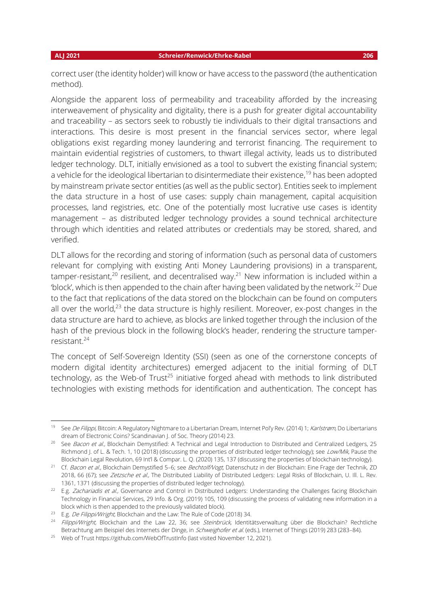correct user (the identity holder) will know or have access to the password (the authentication method).

Alongside the apparent loss of permeability and traceability afforded by the increasing interweavement of physicality and digitality, there is a push for greater digital accountability and traceability – as sectors seek to robustly tie individuals to their digital transactions and interactions. This desire is most present in the financial services sector, where legal obligations exist regarding money laundering and terrorist financing. The requirement to maintain evidential registries of customers, to thwart illegal activity, leads us to distributed ledger technology. DLT, initially envisioned as a tool to subvert the existing financial system; a vehicle for the ideological libertarian to disintermediate their existence,<sup>19</sup> has been adopted by mainstream private sector entities (as well as the public sector). Entities seek to implement the data structure in a host of use cases: supply chain management, capital acquisition processes, land registries, etc. One of the potentially most lucrative use cases is identity management – as distributed ledger technology provides a sound technical architecture through which identities and related attributes or credentials may be stored, shared, and verified.

DLT allows for the recording and storing of information (such as personal data of customers relevant for complying with existing Anti Money Laundering provisions) in a transparent, tamper-resistant,<sup>20</sup> resilient, and decentralised way.<sup>21</sup> New information is included within a 'block', which is then appended to the chain after having been validated by the network.<sup>22</sup> Due to the fact that replications of the data stored on the blockchain can be found on computers all over the world,<sup>23</sup> the data structure is highly resilient. Moreover, ex-post changes in the data structure are hard to achieve, as blocks are linked together through the inclusion of the hash of the previous block in the following block's header, rendering the structure tamperresistant.<sup>24</sup>

The concept of Self-Sovereign Identity (SSI) (seen as one of the cornerstone concepts of modern digital identity architectures) emerged adjacent to the initial forming of DLT technology, as the Web-of Trust<sup>25</sup> initiative forged ahead with methods to link distributed technologies with existing methods for identification and authentication. The concept has

<sup>&</sup>lt;sup>19</sup> See De Filippi, Bitcoin: A Regulatory Nightmare to a Libertarian Dream, Internet Pol'y Rev. (2014) 1; Karlstrøm, Do Libertarians dream of Electronic Coins? Scandinavian J. of Soc. Theory (2014) 23.

<sup>&</sup>lt;sup>20</sup> See Bacon et al., Blockchain Demystified: A Technical and Legal Introduction to Distributed and Centralized Ledgers, 25 Richmond J. of L. & Tech. 1, 10 (2018) (discussing the properties of distributed ledger technology); see Low/Mik, Pause the Blockchain Legal Revolution, 69 Int'l & Compar. L. Q. (2020) 135, 137 (discussing the properties of blockchain technology).

<sup>&</sup>lt;sup>21</sup> Cf. Bacon et al., Blockchain Demystified 5-6; see Bechtolf/Vogt, Datenschutz in der Blockchain: Eine Frage der Technik, ZD 2018, 66 (67); see Zetzsche et al., The Distributed Liability of Distributed Ledgers: Legal Risks of Blockchain, U. III. L. Rev. 1361, 1371 (discussing the properties of distributed ledger technology).

 $22$  E.g. Zachariadis et al., Governance and Control in Distributed Ledgers: Understanding the Challenges facing Blockchain Technology in Financial Services, 29 Info. & Org. (2019) 105, 109 (discussing the process of validating new information in a block which is then appended to the previously validated block).

<sup>&</sup>lt;sup>23</sup> E.g. De Filippi/Wright, Blockchain and the Law: The Rule of Code (2018) 34.

<sup>&</sup>lt;sup>24</sup> Filippi/Wright, Blockchain and the Law 22, 36; see Steinbrück, Identitätsverwaltung über die Blockchain? Rechtliche Betrachtung am Beispiel des Internets der Dinge, in Schweighofer et al. (eds.), Internet of Things (2019) 283 (283-84).

<sup>&</sup>lt;sup>25</sup> Web of Trust https://github.com/WebOfTrustInfo (last visited November 12, 2021).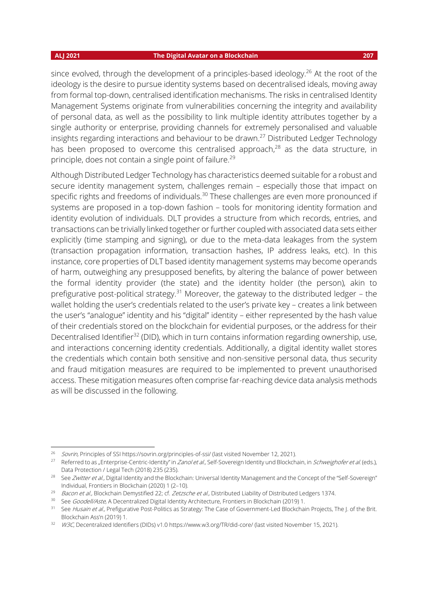since evolved, through the development of a principles-based ideology.<sup>26</sup> At the root of the ideology is the desire to pursue identity systems based on decentralised ideals, moving away from formal top-down, centralised identification mechanisms. The risks in centralised Identity Management Systems originate from vulnerabilities concerning the integrity and availability of personal data, as well as the possibility to link multiple identity attributes together by a single authority or enterprise, providing channels for extremely personalised and valuable insights regarding interactions and behaviour to be drawn.<sup>27</sup> Distributed Ledger Technology has been proposed to overcome this centralised approach,<sup>28</sup> as the data structure, in principle, does not contain a single point of failure.<sup>29</sup>

Although Distributed Ledger Technology has characteristics deemed suitable for a robust and secure identity management system, challenges remain – especially those that impact on specific rights and freedoms of individuals.<sup>30</sup> These challenges are even more pronounced if systems are proposed in a top-down fashion – tools for monitoring identity formation and identity evolution of individuals. DLT provides a structure from which records, entries, and transactions can be trivially linked together or further coupled with associated data sets either explicitly (time stamping and signing), or due to the meta-data leakages from the system (transaction propagation information, transaction hashes, IP address leaks, etc). In this instance, core properties of DLT based identity management systems may become operands of harm, outweighing any presupposed benefits, by altering the balance of power between the formal identity provider (the state) and the identity holder (the person), akin to prefigurative post-political strategy.<sup>31</sup> Moreover, the gateway to the distributed ledger – the wallet holding the user's credentials related to the user's private key – creates a link between the user's "analogue" identity and his "digital" identity – either represented by the hash value of their credentials stored on the blockchain for evidential purposes, or the address for their Decentralised Identifier<sup>32</sup> (DID), which in turn contains information regarding ownership, use, and interactions concerning identity credentials. Additionally, a digital identity wallet stores the credentials which contain both sensitive and non-sensitive personal data, thus security and fraud mitigation measures are required to be implemented to prevent unauthorised access. These mitigation measures often comprise far-reaching device data analysis methods as will be discussed in the following.

<sup>&</sup>lt;sup>26</sup> Sovrin, Principles of SSI https://sovrin.org/principles-of-ssi/ (last visited November 12, 2021).

<sup>&</sup>lt;sup>27</sup> Referred to as "Enterprise-Centric-Identity" in *Zanol et al.,* Self-Sovereign Identity und Blockchain, in *Schweighofer et al.* (eds.), Data Protection / Legal Tech (2018) 235 (235).

<sup>&</sup>lt;sup>28</sup> See Zwitter et al., Digital Identity and the Blockchain: Universal Identity Management and the Concept of the "Self-Sovereign" Individual, Frontiers in Blockchain (2020) 1 (2–10).

<sup>&</sup>lt;sup>29</sup> Bacon et al., Blockchain Demystified 22; cf. Zetzsche et al., Distributed Liability of Distributed Ledgers 1374.

<sup>&</sup>lt;sup>30</sup> See *Goodell/Aste,* A Decentralized Digital Identity Architecture, Frontiers in Blockchain (2019) 1.

<sup>&</sup>lt;sup>31</sup> See Husain et al., Prefigurative Post-Politics as Strategy: The Case of Government-Led Blockchain Projects, The J. of the Brit. Blockchain Ass'n (2019) 1.

<sup>&</sup>lt;sup>32</sup> W3C, Decentralized Identifiers (DIDs) v1.0 https://www.w3.org/TR/did-core/ (last visited November 15, 2021).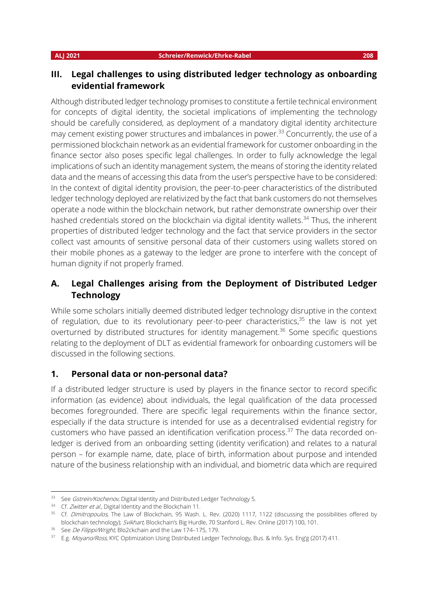### **III. Legal challenges to using distributed ledger technology as onboarding evidential framework**

Although distributed ledger technology promises to constitute a fertile technical environment for concepts of digital identity, the societal implications of implementing the technology should be carefully considered, as deployment of a mandatory digital identity architecture may cement existing power structures and imbalances in power.<sup>33</sup> Concurrently, the use of a permissioned blockchain network as an evidential framework for customer onboarding in the finance sector also poses specific legal challenges. In order to fully acknowledge the legal implications of such an identity management system, the means of storing the identity related data and the means of accessing this data from the user's perspective have to be considered: In the context of digital identity provision, the peer-to-peer characteristics of the distributed ledger technology deployed are relativized by the fact that bank customers do not themselves operate a node within the blockchain network, but rather demonstrate ownership over their hashed credentials stored on the blockchain via digital identity wallets.<sup>34</sup> Thus, the inherent properties of distributed ledger technology and the fact that service providers in the sector collect vast amounts of sensitive personal data of their customers using wallets stored on their mobile phones as a gateway to the ledger are prone to interfere with the concept of human dignity if not properly framed.

## **A. Legal Challenges arising from the Deployment of Distributed Ledger Technology**

While some scholars initially deemed distributed ledger technology disruptive in the context of regulation, due to its revolutionary peer-to-peer characteristics,<sup>35</sup> the law is not yet overturned by distributed structures for identity management.<sup>36</sup> Some specific questions relating to the deployment of DLT as evidential framework for onboarding customers will be discussed in the following sections.

### **1. Personal data or non-personal data?**

If a distributed ledger structure is used by players in the finance sector to record specific information (as evidence) about individuals, the legal qualification of the data processed becomes foregrounded. There are specific legal requirements within the finance sector, especially if the data structure is intended for use as a decentralised evidential registry for customers who have passed an identification verification process.<sup>37</sup> The data recorded onledger is derived from an onboarding setting (identity verification) and relates to a natural person – for example name, date, place of birth, information about purpose and intended nature of the business relationship with an individual, and biometric data which are required

<sup>33</sup> See Gstrein/Kochenov, Digital Identity and Distributed Ledger Technology 5.

<sup>34</sup> Cf. Zwitter et al., Digital Identity and the Blockchain 11.

<sup>&</sup>lt;sup>35</sup> Cf. Dimitropoulos, The Law of Blockchain, 95 Wash. L. Rev. (2020) 1117, 1122 (discussing the possibilities offered by blockchain technology); Svikhart, Blockchain's Big Hurdle, 70 Stanford L. Rev. Online (2017) 100, 101.

<sup>&</sup>lt;sup>36</sup> See De Filippi/Wright, Blo2ckchain and the Law 174-175, 179.

<sup>&</sup>lt;sup>37</sup> E.g. Moyano/Ross, KYC Optimization Using Distributed Ledger Technology, Bus. & Info. Sys. Eng'g (2017) 411.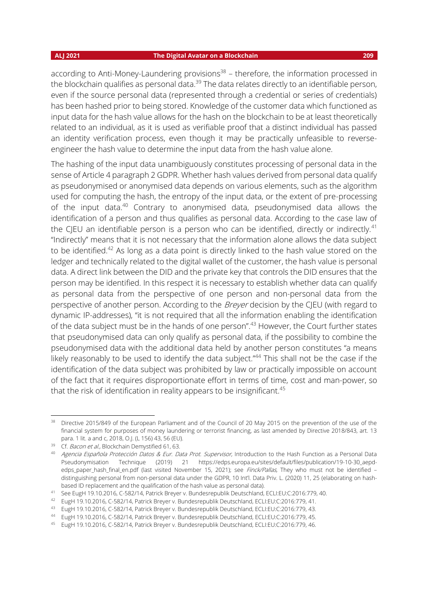according to Anti-Money-Laundering provisions<sup>38</sup> – therefore, the information processed in the blockchain qualifies as personal data. $39$  The data relates directly to an identifiable person, even if the source personal data (represented through a credential or series of credentials) has been hashed prior to being stored. Knowledge of the customer data which functioned as input data for the hash value allows for the hash on the blockchain to be at least theoretically related to an individual, as it is used as verifiable proof that a distinct individual has passed an identity verification process, even though it may be practically unfeasible to reverseengineer the hash value to determine the input data from the hash value alone.

The hashing of the input data unambiguously constitutes processing of personal data in the sense of Article 4 paragraph 2 GDPR. Whether hash values derived from personal data qualify as pseudonymised or anonymised data depends on various elements, such as the algorithm used for computing the hash, the entropy of the input data, or the extent of pre-processing of the input data.<sup>40</sup> Contrary to anonymised data, pseudonymised data allows the identification of a person and thus qualifies as personal data. According to the case law of the CJEU an identifiable person is a person who can be identified, directly or indirectly.<sup>41</sup> "Indirectly" means that it is not necessary that the information alone allows the data subject to be identified.<sup>42</sup> As long as a data point is directly linked to the hash value stored on the ledger and technically related to the digital wallet of the customer, the hash value is personal data. A direct link between the DID and the private key that controls the DID ensures that the person may be identified. In this respect it is necessary to establish whether data can qualify as personal data from the perspective of one person and non-personal data from the perspective of another person. According to the *Breyer* decision by the CIEU (with regard to dynamic IP-addresses), "it is not required that all the information enabling the identification of the data subject must be in the hands of one person".<sup>43</sup> However, the Court further states that pseudonymised data can only qualify as personal data, if the possibility to combine the pseudonymised data with the additional data held by another person constitutes "a means likely reasonably to be used to identify the data subject."<sup>44</sup> This shall not be the case if the identification of the data subject was prohibited by law or practically impossible on account of the fact that it requires disproportionate effort in terms of time, cost and man-power, so that the risk of identification in reality appears to be insignificant.<sup>45</sup>

<sup>&</sup>lt;sup>38</sup> Directive 2015/849 of the European Parliament and of the Council of 20 May 2015 on the prevention of the use of the financial system for purposes of money laundering or terrorist financing, as last amended by Directive 2018/843, art. 13 para. 1 lit. a and c, 2018, O.J. (L 156) 43, 56 (EU).

<sup>&</sup>lt;sup>39</sup> Cf. Bacon et al., Blockchain Demystified 61, 63.

<sup>&</sup>lt;sup>40</sup> Agencia Española Protección Datos & Eur. Data Prot. Supervisor, Introduction to the Hash Function as a Personal Data Pseudonymisation Technique (2019) 21 https://edps.europa.eu/sites/default/files/publication/19-10-30 aepdedps\_paper\_hash\_final\_en.pdf (last visited November 15, 2021); see Finck/Pallas, They who must not be identified distinguishing personal from non-personal data under the GDPR, 10 Int'l. Data Priv. L. (2020) 11, 25 (elaborating on hashbased ID replacement and the qualification of the hash value as personal data).

<sup>41</sup> See EugH 19.10.2016, C-582/14, Patrick Breyer v. Bundesrepublik Deutschland, ECLI:EU:C:2016:779, 40.

<sup>42</sup> EugH 19.10.2016, C-582/14, Patrick Breyer v. Bundesrepublik Deutschland, ECLI:EU:C:2016:779, 41.

<sup>43</sup> EugH 19.10.2016, C-582/14, Patrick Breyer v. Bundesrepublik Deutschland, ECLI:EU:C:2016:779, 43.

<sup>44</sup> EugH 19.10.2016, C-582/14, Patrick Breyer v. Bundesrepublik Deutschland, ECLI:EU:C:2016:779, 45.

<sup>45</sup> EugH 19.10.2016, C-582/14, Patrick Breyer v. Bundesrepublik Deutschland, ECLI:EU:C:2016:779, 46.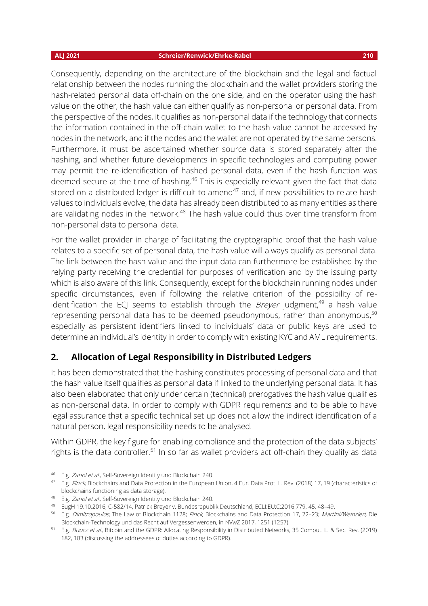### **ALJ 2021 Schreier/Renwick/Ehrke-Rabel 210**

Consequently, depending on the architecture of the blockchain and the legal and factual relationship between the nodes running the blockchain and the wallet providers storing the hash-related personal data off-chain on the one side, and on the operator using the hash value on the other, the hash value can either qualify as non-personal or personal data. From the perspective of the nodes, it qualifies as non-personal data if the technology that connects the information contained in the off-chain wallet to the hash value cannot be accessed by nodes in the network, and if the nodes and the wallet are not operated by the same persons. Furthermore, it must be ascertained whether source data is stored separately after the hashing, and whether future developments in specific technologies and computing power may permit the re-identification of hashed personal data, even if the hash function was deemed secure at the time of hashing.<sup>46</sup> This is especially relevant given the fact that data stored on a distributed ledger is difficult to amend<sup>47</sup> and, if new possibilities to relate hash values to individuals evolve, the data has already been distributed to as many entities as there are validating nodes in the network.<sup>48</sup> The hash value could thus over time transform from non-personal data to personal data.

For the wallet provider in charge of facilitating the cryptographic proof that the hash value relates to a specific set of personal data, the hash value will always qualify as personal data. The link between the hash value and the input data can furthermore be established by the relying party receiving the credential for purposes of verification and by the issuing party which is also aware of this link. Consequently, except for the blockchain running nodes under specific circumstances, even if following the relative criterion of the possibility of reidentification the ECJ seems to establish through the *Breyer* judgment,<sup>49</sup> a hash value representing personal data has to be deemed pseudonymous, rather than anonymous,<sup>50</sup> especially as persistent identifiers linked to individuals' data or public keys are used to determine an individual's identity in order to comply with existing KYC and AML requirements.

### **2. Allocation of Legal Responsibility in Distributed Ledgers**

It has been demonstrated that the hashing constitutes processing of personal data and that the hash value itself qualifies as personal data if linked to the underlying personal data. It has also been elaborated that only under certain (technical) prerogatives the hash value qualifies as non-personal data. In order to comply with GDPR requirements and to be able to have legal assurance that a specific technical set up does not allow the indirect identification of a natural person, legal responsibility needs to be analysed.

Within GDPR, the key figure for enabling compliance and the protection of the data subjects' rights is the data controller.<sup>51</sup> In so far as wallet providers act off-chain they qualify as data

<sup>46</sup> E.g. Zanol et al., Self-Sovereign Identity und Blockchain 240.

<sup>47</sup> E.g. Finck, Blockchains and Data Protection in the European Union, 4 Eur. Data Prot. L. Rev. (2018) 17, 19 (characteristics of blockchains functioning as data storage).

<sup>48</sup> E.g. Zanol et al., Self-Sovereign Identity und Blockchain 240.

<sup>49</sup> EugH 19.10.2016, C-582/14, Patrick Breyer v. Bundesrepublik Deutschland, ECLI:EU:C:2016:779, 45, 48–49.

<sup>50</sup> E.g. Dimitropoulos, The Law of Blockchain 1128; Finck, Blockchains and Data Protection 17, 22-23; Martini/Weinzierl, Die Blockchain-Technology und das Recht auf Vergessenwerden, in NVwZ 2017, 1251 (1257).

<sup>51</sup> E.g. Buocz et al., Bitcoin and the GDPR: Allocating Responsibility in Distributed Networks, 35 Comput. L. & Sec. Rev. (2019) 182, 183 (discussing the addressees of duties according to GDPR).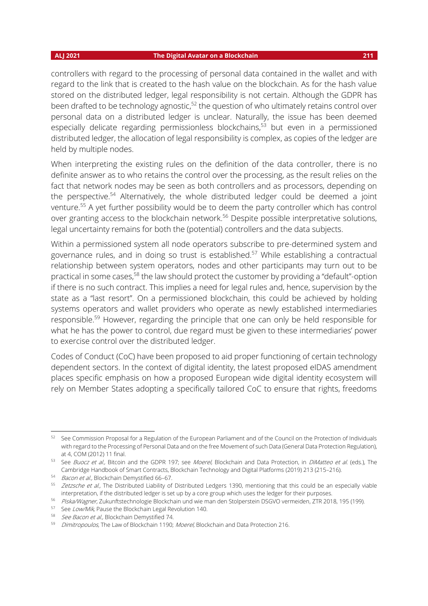controllers with regard to the processing of personal data contained in the wallet and with regard to the link that is created to the hash value on the blockchain. As for the hash value stored on the distributed ledger, legal responsibility is not certain. Although the GDPR has been drafted to be technology agnostic,<sup>52</sup> the question of who ultimately retains control over personal data on a distributed ledger is unclear. Naturally, the issue has been deemed especially delicate regarding permissionless blockchains, <sup>53</sup> but even in a permissioned distributed ledger, the allocation of legal responsibility is complex, as copies of the ledger are held by multiple nodes.

When interpreting the existing rules on the definition of the data controller, there is no definite answer as to who retains the control over the processing, as the result relies on the fact that network nodes may be seen as both controllers and as processors, depending on the perspective.<sup>54</sup> Alternatively, the whole distributed ledger could be deemed a joint venture.<sup>55</sup> A yet further possibility would be to deem the party controller which has control over granting access to the blockchain network.<sup>56</sup> Despite possible interpretative solutions, legal uncertainty remains for both the (potential) controllers and the data subjects.

Within a permissioned system all node operators subscribe to pre-determined system and governance rules, and in doing so trust is established.<sup>57</sup> While establishing a contractual relationship between system operators, nodes and other participants may turn out to be practical in some cases,<sup>58</sup> the law should protect the customer by providing a "default"-option if there is no such contract. This implies a need for legal rules and, hence, supervision by the state as a "last resort". On a permissioned blockchain, this could be achieved by holding systems operators and wallet providers who operate as newly established intermediaries responsible.<sup>59</sup> However, regarding the principle that one can only be held responsible for what he has the power to control, due regard must be given to these intermediaries' power to exercise control over the distributed ledger.

Codes of Conduct (CoC) have been proposed to aid proper functioning of certain technology dependent sectors. In the context of digital identity, the latest proposed eIDAS amendment places specific emphasis on how a proposed European wide digital identity ecosystem will rely on Member States adopting a specifically tailored CoC to ensure that rights, freedoms

<sup>52</sup> See Commission Proposal for a Regulation of the European Parliament and of the Council on the Protection of Individuals with regard to the Processing of Personal Data and on the free Movement of such Data (General Data Protection Regulation), at 4, COM (2012) 11 final.

<sup>53</sup> See Buocz et al., Bitcoin and the GDPR 197; see Moerel, Blockchain and Data Protection, in DiMatteo et al. (eds.), The Cambridge Handbook of Smart Contracts, Blockchain Technology and Digital Platforms (2019) 213 (215–216).

<sup>54</sup> Bacon et al., Blockchain Demystified 66–67.

<sup>55</sup> Zetzsche et al., The Distributed Liability of Distributed Ledgers 1390, mentioning that this could be an especially viable interpretation, if the distributed ledger is set up by a core group which uses the ledger for their purposes.

<sup>&</sup>lt;sup>56</sup> Piska/Wagner, Zukunftstechnologie Blockchain und wie man den Stolperstein DSGVO vermeiden, ZTR 2018, 195 (199).

<sup>57</sup> See Low/Mik, Pause the Blockchain Legal Revolution 140.

<sup>58</sup> See Bacon et al., Blockchain Demystified 74.

<sup>59</sup> Dimitropoulos, The Law of Blockchain 1190; Moerel, Blockchain and Data Protection 216.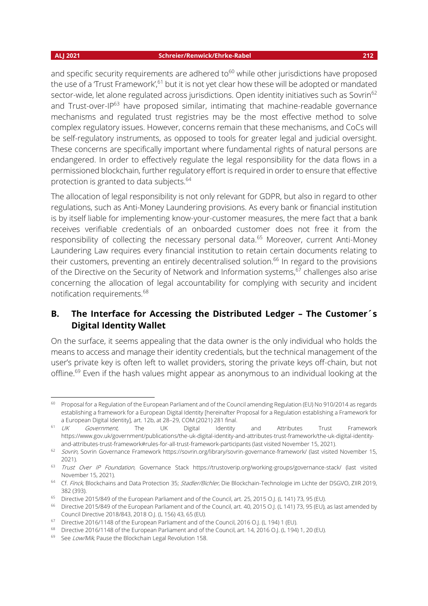and specific security requirements are adhered to $60$  while other jurisdictions have proposed the use of a 'Trust Framework',<sup>61</sup> but it is not yet clear how these will be adopted or mandated sector-wide, let alone regulated across jurisdictions. Open identity initiatives such as Sovrin<sup>62</sup> and Trust-over-IP $^{63}$  have proposed similar, intimating that machine-readable governance mechanisms and regulated trust registries may be the most effective method to solve complex regulatory issues. However, concerns remain that these mechanisms, and CoCs will be self-regulatory instruments, as opposed to tools for greater legal and judicial oversight. These concerns are specifically important where fundamental rights of natural persons are endangered. In order to effectively regulate the legal responsibility for the data flows in a permissioned blockchain, further regulatory effort is required in order to ensure that effective protection is granted to data subjects.<sup>64</sup>

The allocation of legal responsibility is not only relevant for GDPR, but also in regard to other regulations, such as Anti-Money Laundering provisions. As every bank or financial institution is by itself liable for implementing know-your-customer measures, the mere fact that a bank receives verifiable credentials of an onboarded customer does not free it from the responsibility of collecting the necessary personal data.<sup>65</sup> Moreover, current Anti-Money Laundering Law requires every financial institution to retain certain documents relating to their customers, preventing an entirely decentralised solution.<sup>66</sup> In regard to the provisions of the Directive on the Security of Network and Information systems,<sup>67</sup> challenges also arise concerning the allocation of legal accountability for complying with security and incident notification requirements.<sup>68</sup>

## **B. The Interface for Accessing the Distributed Ledger – The Customer´s Digital Identity Wallet**

On the surface, it seems appealing that the data owner is the only individual who holds the means to access and manage their identity credentials, but the technical management of the user's private key is often left to wallet providers, storing the private keys off-chain, but not offline.<sup>69</sup> Even if the hash values might appear as anonymous to an individual looking at the

<sup>&</sup>lt;sup>60</sup> Proposal for a Regulation of the European Parliament and of the Council amending Regulation (EU) No 910/2014 as regards establishing a framework for a European Digital Identity [hereinafter Proposal for a Regulation establishing a Framework for a European Digital Identity], art. 12b, at 28–29, COM (2021) 281 final.

<sup>&</sup>lt;sup>61</sup> UK Government, The UK Digital Identity and Attributes Trust Framework https://www.gov.uk/government/publications/the-uk-digital-identity-and-attributes-trust-framework/the-uk-digital-identityand-attributes-trust-framework#rules-for-all-trust-framework-participants (last visited November 15, 2021).

<sup>62</sup> Sovrin, Sovrin Governance Framework https://sovrin.org/library/sovrin-governance-framework/ (last visited November 15, 2021).

<sup>63</sup> Trust Over IP Foundation, Governance Stack https://trustoverip.org/working-groups/governance-stack/ (last visited November 15, 2021).

<sup>&</sup>lt;sup>64</sup> Cf. Finck, Blockchains and Data Protection 35; Stadler/Bichler, Die Blockchain-Technologie im Lichte der DSGVO, ZIIR 2019, 382 (393).

<sup>&</sup>lt;sup>65</sup> Directive 2015/849 of the European Parliament and of the Council, art. 25, 2015 O.J. (L 141) 73, 95 (EU).

<sup>&</sup>lt;sup>66</sup> Directive 2015/849 of the European Parliament and of the Council, art. 40, 2015 O.J. (L 141) 73, 95 (EU), as last amended by Council Directive 2018/843, 2018 O.J. (L 156) 43, 65 (EU).

<sup>&</sup>lt;sup>67</sup> Directive 2016/1148 of the European Parliament and of the Council, 2016 O.J. (L 194) 1 (EU).

<sup>&</sup>lt;sup>68</sup> Directive 2016/1148 of the European Parliament and of the Council, art. 14, 2016 O.J. (L 194) 1, 20 (EU).

<sup>69</sup> See Low/Mik, Pause the Blockchain Legal Revolution 158.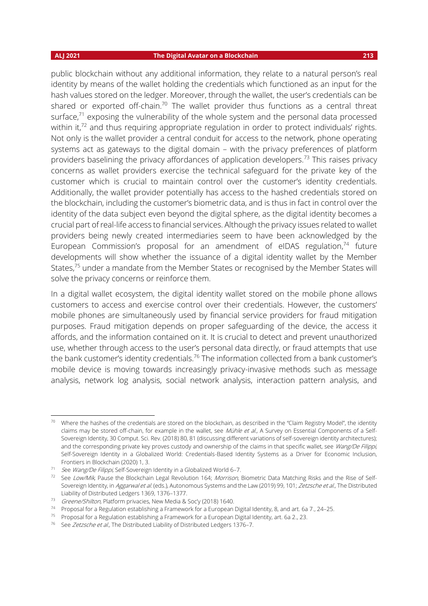public blockchain without any additional information, they relate to a natural person's real identity by means of the wallet holding the credentials which functioned as an input for the hash values stored on the ledger. Moreover, through the wallet, the user's credentials can be shared or exported off-chain.<sup>70</sup> The wallet provider thus functions as a central threat surface, <sup>71</sup> exposing the vulnerability of the whole system and the personal data processed within it, $72$  and thus requiring appropriate regulation in order to protect individuals' rights. Not only is the wallet provider a central conduit for access to the network, phone operating systems act as gateways to the digital domain – with the privacy preferences of platform providers baselining the privacy affordances of application developers.<sup>73</sup> This raises privacy concerns as wallet providers exercise the technical safeguard for the private key of the customer which is crucial to maintain control over the customer's identity credentials. Additionally, the wallet provider potentially has access to the hashed credentials stored on the blockchain, including the customer's biometric data, and is thus in fact in control over the identity of the data subject even beyond the digital sphere, as the digital identity becomes a crucial part of real-life access to financial services. Although the privacy issues related to wallet providers being newly created intermediaries seem to have been acknowledged by the European Commission's proposal for an amendment of eIDAS regulation,<sup>74</sup> future developments will show whether the issuance of a digital identity wallet by the Member States,<sup>75</sup> under a mandate from the Member States or recognised by the Member States will solve the privacy concerns or reinforce them.

In a digital wallet ecosystem, the digital identity wallet stored on the mobile phone allows customers to access and exercise control over their credentials. However, the customers' mobile phones are simultaneously used by financial service providers for fraud mitigation purposes. Fraud mitigation depends on proper safeguarding of the device, the access it affords, and the information contained on it. It is crucial to detect and prevent unauthorized use, whether through access to the user's personal data directly, or fraud attempts that use the bank customer's identity credentials.<sup>76</sup> The information collected from a bank customer's mobile device is moving towards increasingly privacy-invasive methods such as message analysis, network log analysis, social network analysis, interaction pattern analysis, and

 $70$  Where the hashes of the credentials are stored on the blockchain, as described in the "Claim Registry Model", the identity claims may be stored off-chain, for example in the wallet, see Mühle et al., A Survey on Essential Components of a Self-Sovereign Identity, 30 Comput. Sci. Rev. (2018) 80, 81 (discussing different variations of self-sovereign identity architectures); and the corresponding private key proves custody and ownership of the claims in that specific wallet, see Wang/De Filippi, Self-Sovereign Identity in a Globalized World: Credentials-Based Identity Systems as a Driver for Economic Inclusion, Frontiers in Blockchain (2020) 1, 3.

<sup>71</sup> See Wang/De Filippi, Self-Sovereign Identity in a Globalized World 6-7.

<sup>&</sup>lt;sup>72</sup> See Low/Mik, Pause the Blockchain Legal Revolution 164; Morrison, Biometric Data Matching Risks and the Rise of Self-Sovereign Identity, in Aggarwal et al. (eds.), Autonomous Systems and the Law (2019) 99, 101; Zetzsche et al., The Distributed Liability of Distributed Ledgers 1369, 1376–1377.

<sup>73</sup> Greene/Shilton, Platform privacies, New Media & Soc'y (2018) 1640.

<sup>74</sup> Proposal for a Regulation establishing a Framework for a European Digital Identity, 8, and art. 6a 7., 24–25.

<sup>75</sup> Proposal for a Regulation establishing a Framework for a European Digital Identity, art. 6a 2., 23.

<sup>&</sup>lt;sup>76</sup> See Zetzsche et al., The Distributed Liability of Distributed Ledgers 1376-7.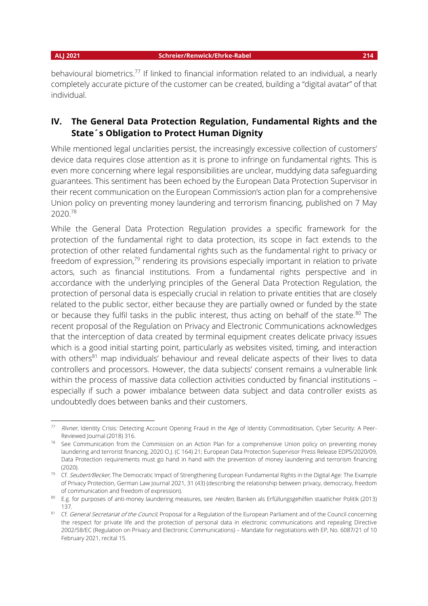behavioural biometrics.<sup>77</sup> If linked to financial information related to an individual, a nearly completely accurate picture of the customer can be created, building a "digital avatar" of that individual.

## **IV. The General Data Protection Regulation, Fundamental Rights and the State´s Obligation to Protect Human Dignity**

While mentioned legal unclarities persist, the increasingly excessive collection of customers' device data requires close attention as it is prone to infringe on fundamental rights. This is even more concerning where legal responsibilities are unclear, muddying data safeguarding guarantees. This sentiment has been echoed by the European Data Protection Supervisor in their recent communication on the European Commission's action plan for a comprehensive Union policy on preventing money laundering and terrorism financing, published on 7 May 2020.<sup>78</sup>

While the General Data Protection Regulation provides a specific framework for the protection of the fundamental right to data protection, its scope in fact extends to the protection of other related fundamental rights such as the fundamental right to privacy or freedom of expression,<sup>79</sup> rendering its provisions especially important in relation to private actors, such as financial institutions. From a fundamental rights perspective and in accordance with the underlying principles of the General Data Protection Regulation, the protection of personal data is especially crucial in relation to private entities that are closely related to the public sector, either because they are partially owned or funded by the state or because they fulfil tasks in the public interest, thus acting on behalf of the state.<sup>80</sup> The recent proposal of the Regulation on Privacy and Electronic Communications acknowledges that the interception of data created by terminal equipment creates delicate privacy issues which is a good initial starting point, particularly as websites visited, timing, and interaction with others<sup>81</sup> map individuals' behaviour and reveal delicate aspects of their lives to data controllers and processors. However, the data subjects' consent remains a vulnerable link within the process of massive data collection activities conducted by financial institutions especially if such a power imbalance between data subject and data controller exists as undoubtedly does between banks and their customers.

<sup>77</sup> Rivner, Identity Crisis: Detecting Account Opening Fraud in the Age of Identity Commoditisation, Cyber Security: A Peer-Reviewed Journal (2018) 316.

<sup>&</sup>lt;sup>78</sup> See Communication from the Commission on an Action Plan for a comprehensive Union policy on preventing money laundering and terrorist financing, 2020 O.J. (C 164) 21; European Data Protection Supervisor Press Release EDPS/2020/09, Data Protection requirements must go hand in hand with the prevention of money laundering and terrorism financing  $(2020)$ .

<sup>&</sup>lt;sup>79</sup> Cf. Seubert/Becker, The Democratic Impact of Strengthening European Fundamental Rights in the Digital Age: The Example of Privacy Protection, German Law Journal 2021, 31 (43) (describing the relationship between privacy, democracy, freedom of communication and freedom of expression).

<sup>80</sup> E.g. for purposes of anti-money laundering measures, see Heiden, Banken als Erfüllungsgehilfen staatlicher Politik (2013) 137.

<sup>81</sup> Cf. General Secretariat of the Council, Proposal for a Regulation of the European Parliament and of the Council concerning the respect for private life and the protection of personal data in electronic communications and repealing Directive 2002/58/EC (Regulation on Privacy and Electronic Communications) – Mandate for negotiations with EP, No. 6087/21 of 10 February 2021, recital 15.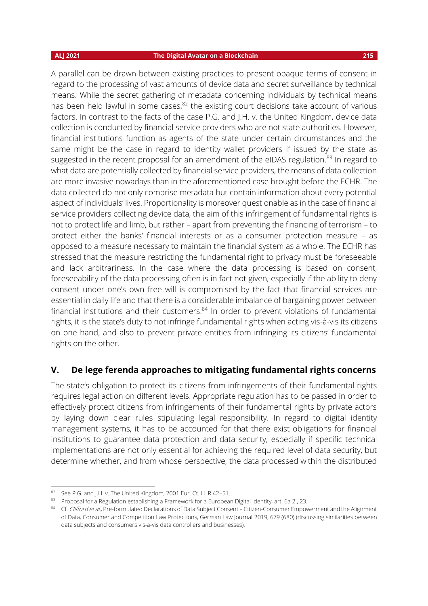A parallel can be drawn between existing practices to present opaque terms of consent in regard to the processing of vast amounts of device data and secret surveillance by technical means. While the secret gathering of metadata concerning individuals by technical means has been held lawful in some cases,<sup>82</sup> the existing court decisions take account of various factors. In contrast to the facts of the case P.G. and J.H. v. the United Kingdom, device data collection is conducted by financial service providers who are not state authorities. However, financial institutions function as agents of the state under certain circumstances and the same might be the case in regard to identity wallet providers if issued by the state as suggested in the recent proposal for an amendment of the eIDAS regulation.<sup>83</sup> In regard to what data are potentially collected by financial service providers, the means of data collection are more invasive nowadays than in the aforementioned case brought before the ECHR. The data collected do not only comprise metadata but contain information about every potential aspect of individuals' lives. Proportionality is moreover questionable as in the case of financial service providers collecting device data, the aim of this infringement of fundamental rights is not to protect life and limb, but rather – apart from preventing the financing of terrorism – to protect either the banks' financial interests or as a consumer protection measure – as opposed to a measure necessary to maintain the financial system as a whole. The ECHR has stressed that the measure restricting the fundamental right to privacy must be foreseeable and lack arbitrariness. In the case where the data processing is based on consent, foreseeability of the data processing often is in fact not given, especially if the ability to deny consent under one's own free will is compromised by the fact that financial services are essential in daily life and that there is a considerable imbalance of bargaining power between financial institutions and their customers. $84$  In order to prevent violations of fundamental rights, it is the state's duty to not infringe fundamental rights when acting vis-à-vis its citizens on one hand, and also to prevent private entities from infringing its citizens' fundamental rights on the other.

### **V. De lege ferenda approaches to mitigating fundamental rights concerns**

The state's obligation to protect its citizens from infringements of their fundamental rights requires legal action on different levels: Appropriate regulation has to be passed in order to effectively protect citizens from infringements of their fundamental rights by private actors by laying down clear rules stipulating legal responsibility. In regard to digital identity management systems, it has to be accounted for that there exist obligations for financial institutions to guarantee data protection and data security, especially if specific technical implementations are not only essential for achieving the required level of data security, but determine whether, and from whose perspective, the data processed within the distributed

<sup>82</sup> See P.G. and J.H. v. The United Kingdom, 2001 Eur. Ct. H. R 42-51.

<sup>83</sup> Proposal for a Regulation establishing a Framework for a European Digital Identity, art. 6a 2., 23.

<sup>84</sup> Cf. Clifford et al., Pre-formulated Declarations of Data Subject Consent – Citizen-Consumer Empowerment and the Alignment of Data, Consumer and Competition Law Protections, German Law Journal 2019, 679 (680) (discussing similarities between data subjects and consumers vis-à-vis data controllers and businesses).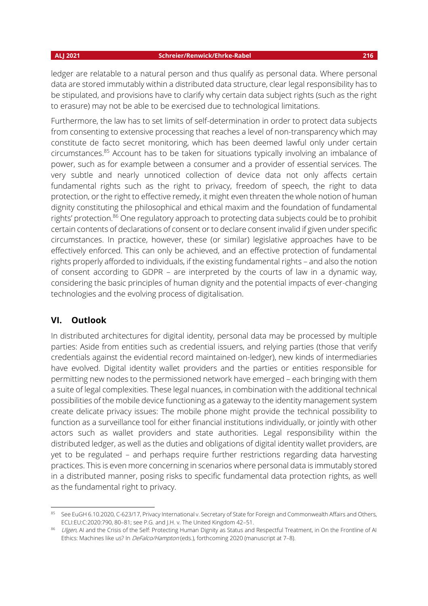ledger are relatable to a natural person and thus qualify as personal data. Where personal data are stored immutably within a distributed data structure, clear legal responsibility has to be stipulated, and provisions have to clarify why certain data subject rights (such as the right to erasure) may not be able to be exercised due to technological limitations.

Furthermore, the law has to set limits of self-determination in order to protect data subjects from consenting to extensive processing that reaches a level of non-transparency which may constitute de facto secret monitoring, which has been deemed lawful only under certain circumstances.<sup>85</sup> Account has to be taken for situations typically involving an imbalance of power, such as for example between a consumer and a provider of essential services. The very subtle and nearly unnoticed collection of device data not only affects certain fundamental rights such as the right to privacy, freedom of speech, the right to data protection, or the right to effective remedy, it might even threaten the whole notion of human dignity constituting the philosophical and ethical maxim and the foundation of fundamental rights' protection.<sup>86</sup> One regulatory approach to protecting data subjects could be to prohibit certain contents of declarations of consent or to declare consent invalid if given under specific circumstances. In practice, however, these (or similar) legislative approaches have to be effectively enforced. This can only be achieved, and an effective protection of fundamental rights properly afforded to individuals, if the existing fundamental rights – and also the notion of consent according to GDPR – are interpreted by the courts of law in a dynamic way, considering the basic principles of human dignity and the potential impacts of ever-changing technologies and the evolving process of digitalisation.

### **VI. Outlook**

In distributed architectures for digital identity, personal data may be processed by multiple parties: Aside from entities such as credential issuers, and relying parties (those that verify credentials against the evidential record maintained on-ledger), new kinds of intermediaries have evolved. Digital identity wallet providers and the parties or entities responsible for permitting new nodes to the permissioned network have emerged – each bringing with them a suite of legal complexities. These legal nuances, in combination with the additional technical possibilities of the mobile device functioning as a gateway to the identity management system create delicate privacy issues: The mobile phone might provide the technical possibility to function as a surveillance tool for either financial institutions individually, or jointly with other actors such as wallet providers and state authorities. Legal responsibility within the distributed ledger, as well as the duties and obligations of digital identity wallet providers, are yet to be regulated – and perhaps require further restrictions regarding data harvesting practices. This is even more concerning in scenarios where personal data is immutably stored in a distributed manner, posing risks to specific fundamental data protection rights, as well as the fundamental right to privacy.

<sup>85</sup> See EuGH 6.10.2020, C-623/17, Privacy International v. Secretary of State for Foreign and Commonwealth Affairs and Others, ECLI:EU:C:2020:790, 80–81; see P.G. and J.H. v. The United Kingdom 42–51.

Ulgen, AI and the Crisis of the Self: Protecting Human Dignity as Status and Respectful Treatment, in On the Frontline of AI Ethics: Machines like us? In *DeFalco/Hampton* (eds.), forthcoming 2020 (manuscript at 7-8).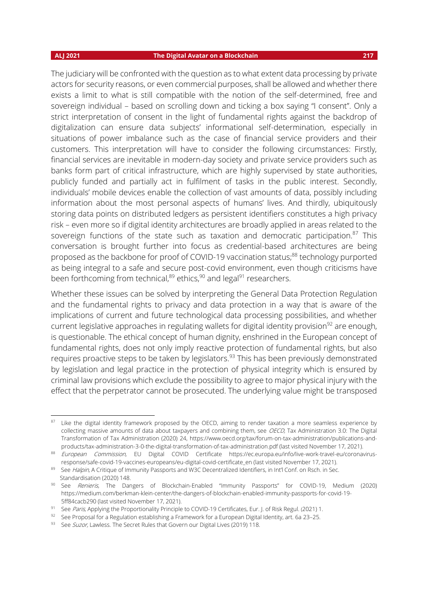The judiciary will be confronted with the question as to what extent data processing by private actors for security reasons, or even commercial purposes, shall be allowed and whether there exists a limit to what is still compatible with the notion of the self-determined, free and sovereign individual – based on scrolling down and ticking a box saying "I consent". Only a strict interpretation of consent in the light of fundamental rights against the backdrop of digitalization can ensure data subjects' informational self-determination, especially in situations of power imbalance such as the case of financial service providers and their customers. This interpretation will have to consider the following circumstances: Firstly, financial services are inevitable in modern-day society and private service providers such as banks form part of critical infrastructure, which are highly supervised by state authorities, publicly funded and partially act in fulfilment of tasks in the public interest. Secondly, individuals' mobile devices enable the collection of vast amounts of data, possibly including information about the most personal aspects of humans' lives. And thirdly, ubiquitously storing data points on distributed ledgers as persistent identifiers constitutes a high privacy risk – even more so if digital identity architectures are broadly applied in areas related to the sovereign functions of the state such as taxation and democratic participation.<sup>87</sup> This conversation is brought further into focus as credential-based architectures are being proposed as the backbone for proof of COVID-19 vaccination status; <sup>88</sup> technology purported as being integral to a safe and secure post-covid environment, even though criticisms have been forthcoming from technical, $^{\rm 89}$  ethics, $^{\rm 90}$  and legal $^{\rm 91}$  researchers.

Whether these issues can be solved by interpreting the General Data Protection Regulation and the fundamental rights to privacy and data protection in a way that is aware of the implications of current and future technological data processing possibilities, and whether current legislative approaches in regulating wallets for digital identity provision<sup>92</sup> are enough, is questionable. The ethical concept of human dignity, enshrined in the European concept of fundamental rights, does not only imply reactive protection of fundamental rights, but also requires proactive steps to be taken by legislators.<sup>93</sup> This has been previously demonstrated by legislation and legal practice in the protection of physical integrity which is ensured by criminal law provisions which exclude the possibility to agree to major physical injury with the effect that the perpetrator cannot be prosecuted. The underlying value might be transposed

<sup>&</sup>lt;sup>87</sup> Like the digital identity framework proposed by the OECD, aiming to render taxation a more seamless experience by collecting massive amounts of data about taxpayers and combining them, see OECD, Tax Administration 3.0: The Digital Transformation of Tax Administration (2020) 24, https://www.oecd.org/tax/forum-on-tax-administration/publications-andproducts/tax-administration-3-0-the-digital-transformation-of-tax-administration.pdf (last visited November 17, 2021).

<sup>88</sup> European Commission, EU Digital COVID Certificate https://ec.europa.eu/info/live-work-travel-eu/coronavirusresponse/safe-covid-19-vaccines-europeans/eu-digital-covid-certificate\_en (last visited November 17, 2021).

<sup>&</sup>lt;sup>89</sup> See *Halpin,* A Critique of Immunity Passports and W3C Decentralized Identifiers, in Int'l Conf. on Rsch. in Sec. Standardisation (2020) 148.

<sup>90</sup> See Renieris, The Dangers of Blockchain-Enabled "Immunity Passports" for COVID-19, Medium (2020) https://medium.com/berkman-klein-center/the-dangers-of-blockchain-enabled-immunity-passports-for-covid-19- 5ff84cacb290 (last visited November 17, 2021).

<sup>&</sup>lt;sup>91</sup> See Paris, Applying the Proportionality Principle to COVID-19 Certificates, Eur. J. of Risk Regul. (2021) 1.

<sup>92</sup> See Proposal for a Regulation establishing a Framework for a European Digital Identity, art. 6a 23-25.

<sup>93</sup> See Suzor, Lawless. The Secret Rules that Govern our Digital Lives (2019) 118.